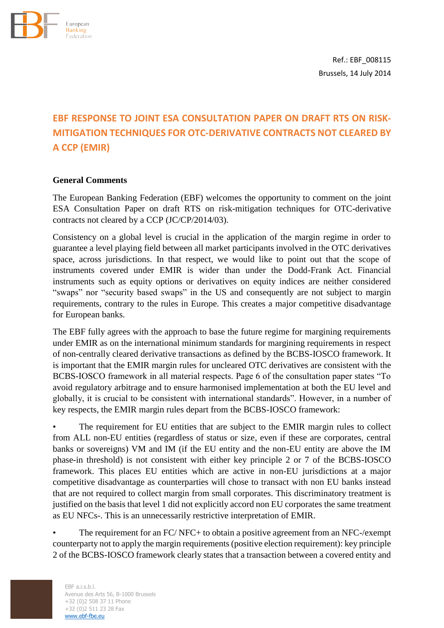

Ref.: EBF\_008115 Brussels, 14 July 2014

# **EBF RESPONSE TO JOINT ESA CONSULTATION PAPER ON DRAFT RTS ON RISK-MITIGATION TECHNIQUES FOR OTC-DERIVATIVE CONTRACTS NOT CLEARED BY A CCP (EMIR)**

### **General Comments**

The European Banking Federation (EBF) welcomes the opportunity to comment on the joint ESA Consultation Paper on draft RTS on risk-mitigation techniques for OTC-derivative contracts not cleared by a CCP (JC/CP/2014/03).

Consistency on a global level is crucial in the application of the margin regime in order to guarantee a level playing field between all market participants involved in the OTC derivatives space, across jurisdictions. In that respect, we would like to point out that the scope of instruments covered under EMIR is wider than under the Dodd-Frank Act. Financial instruments such as equity options or derivatives on equity indices are neither considered "swaps" nor "security based swaps" in the US and consequently are not subject to margin requirements, contrary to the rules in Europe. This creates a major competitive disadvantage for European banks.

The EBF fully agrees with the approach to base the future regime for margining requirements under EMIR as on the international minimum standards for margining requirements in respect of non-centrally cleared derivative transactions as defined by the BCBS-IOSCO framework. It is important that the EMIR margin rules for uncleared OTC derivatives are consistent with the BCBS-IOSCO framework in all material respects. Page 6 of the consultation paper states "To avoid regulatory arbitrage and to ensure harmonised implementation at both the EU level and globally, it is crucial to be consistent with international standards". However, in a number of key respects, the EMIR margin rules depart from the BCBS-IOSCO framework:

The requirement for EU entities that are subject to the EMIR margin rules to collect from ALL non-EU entities (regardless of status or size, even if these are corporates, central banks or sovereigns) VM and IM (if the EU entity and the non-EU entity are above the IM phase-in threshold) is not consistent with either key principle 2 or 7 of the BCBS-IOSCO framework. This places EU entities which are active in non-EU jurisdictions at a major competitive disadvantage as counterparties will chose to transact with non EU banks instead that are not required to collect margin from small corporates. This discriminatory treatment is justified on the basis that level 1 did not explicitly accord non EU corporates the same treatment as EU NFCs-. This is an unnecessarily restrictive interpretation of EMIR.

• The requirement for an FC/ NFC+ to obtain a positive agreement from an NFC-/exempt counterparty not to apply the margin requirements (positive election requirement): key principle 2 of the BCBS-IOSCO framework clearly states that a transaction between a covered entity and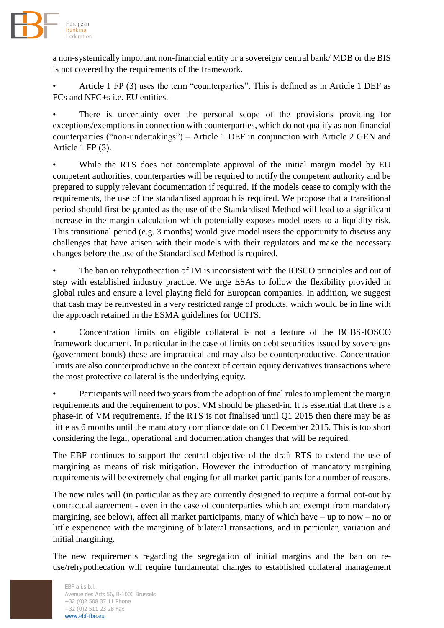

a non-systemically important non-financial entity or a sovereign/ central bank/ MDB or the BIS is not covered by the requirements of the framework.

• Article 1 FP (3) uses the term "counterparties". This is defined as in Article 1 DEF as FCs and NFC+s i.e. EU entities.

There is uncertainty over the personal scope of the provisions providing for exceptions/exemptions in connection with counterparties, which do not qualify as non-financial counterparties ("non-undertakings") – Article 1 DEF in conjunction with Article 2 GEN and Article 1 FP (3).

While the RTS does not contemplate approval of the initial margin model by EU competent authorities, counterparties will be required to notify the competent authority and be prepared to supply relevant documentation if required. If the models cease to comply with the requirements, the use of the standardised approach is required. We propose that a transitional period should first be granted as the use of the Standardised Method will lead to a significant increase in the margin calculation which potentially exposes model users to a liquidity risk. This transitional period (e.g. 3 months) would give model users the opportunity to discuss any challenges that have arisen with their models with their regulators and make the necessary changes before the use of the Standardised Method is required.

The ban on rehypothecation of IM is inconsistent with the IOSCO principles and out of step with established industry practice. We urge ESAs to follow the flexibility provided in global rules and ensure a level playing field for European companies. In addition, we suggest that cash may be reinvested in a very restricted range of products, which would be in line with the approach retained in the ESMA guidelines for UCITS.

• Concentration limits on eligible collateral is not a feature of the BCBS-IOSCO framework document. In particular in the case of limits on debt securities issued by sovereigns (government bonds) these are impractical and may also be counterproductive. Concentration limits are also counterproductive in the context of certain equity derivatives transactions where the most protective collateral is the underlying equity.

• Participants will need two years from the adoption of final rules to implement the margin requirements and the requirement to post VM should be phased-in. It is essential that there is a phase-in of VM requirements. If the RTS is not finalised until Q1 2015 then there may be as little as 6 months until the mandatory compliance date on 01 December 2015. This is too short considering the legal, operational and documentation changes that will be required.

The EBF continues to support the central objective of the draft RTS to extend the use of margining as means of risk mitigation. However the introduction of mandatory margining requirements will be extremely challenging for all market participants for a number of reasons.

The new rules will (in particular as they are currently designed to require a formal opt-out by contractual agreement - even in the case of counterparties which are exempt from mandatory margining, see below), affect all market participants, many of which have – up to now – no or little experience with the margining of bilateral transactions, and in particular, variation and initial margining.

The new requirements regarding the segregation of initial margins and the ban on reuse/rehypothecation will require fundamental changes to established collateral management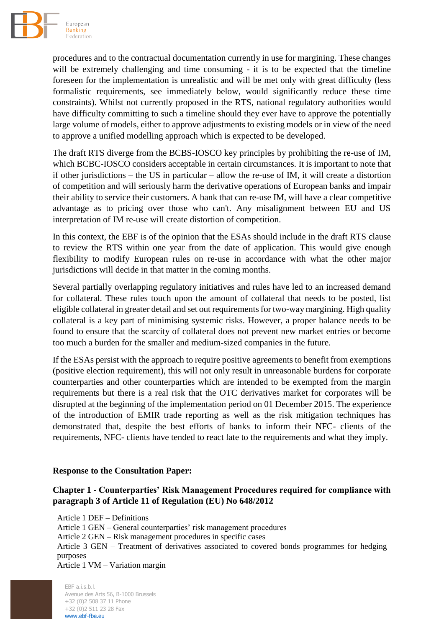

procedures and to the contractual documentation currently in use for margining. These changes will be extremely challenging and time consuming - it is to be expected that the timeline foreseen for the implementation is unrealistic and will be met only with great difficulty (less formalistic requirements, see immediately below, would significantly reduce these time constraints). Whilst not currently proposed in the RTS, national regulatory authorities would have difficulty committing to such a timeline should they ever have to approve the potentially large volume of models, either to approve adjustments to existing models or in view of the need to approve a unified modelling approach which is expected to be developed.

The draft RTS diverge from the BCBS-IOSCO key principles by prohibiting the re-use of IM, which BCBC-IOSCO considers acceptable in certain circumstances. It is important to note that if other jurisdictions – the US in particular – allow the re-use of IM, it will create a distortion of competition and will seriously harm the derivative operations of European banks and impair their ability to service their customers. A bank that can re-use IM, will have a clear competitive advantage as to pricing over those who can't. Any misalignment between EU and US interpretation of IM re-use will create distortion of competition.

In this context, the EBF is of the opinion that the ESAs should include in the draft RTS clause to review the RTS within one year from the date of application. This would give enough flexibility to modify European rules on re-use in accordance with what the other major jurisdictions will decide in that matter in the coming months.

Several partially overlapping regulatory initiatives and rules have led to an increased demand for collateral. These rules touch upon the amount of collateral that needs to be posted, list eligible collateral in greater detail and set out requirements for two-way margining. High quality collateral is a key part of minimising systemic risks. However, a proper balance needs to be found to ensure that the scarcity of collateral does not prevent new market entries or become too much a burden for the smaller and medium-sized companies in the future.

If the ESAs persist with the approach to require positive agreements to benefit from exemptions (positive election requirement), this will not only result in unreasonable burdens for corporate counterparties and other counterparties which are intended to be exempted from the margin requirements but there is a real risk that the OTC derivatives market for corporates will be disrupted at the beginning of the implementation period on 01 December 2015. The experience of the introduction of EMIR trade reporting as well as the risk mitigation techniques has demonstrated that, despite the best efforts of banks to inform their NFC- clients of the requirements, NFC- clients have tended to react late to the requirements and what they imply.

#### **Response to the Consultation Paper:**

# **Chapter 1 - Counterparties' Risk Management Procedures required for compliance with paragraph 3 of Article 11 of Regulation (EU) No 648/2012**

Article 1 DEF – Definitions Article 1 GEN – General counterparties' risk management procedures Article 2 GEN – Risk management procedures in specific cases Article 3 GEN – Treatment of derivatives associated to covered bonds programmes for hedging purposes Article 1 VM – Variation margin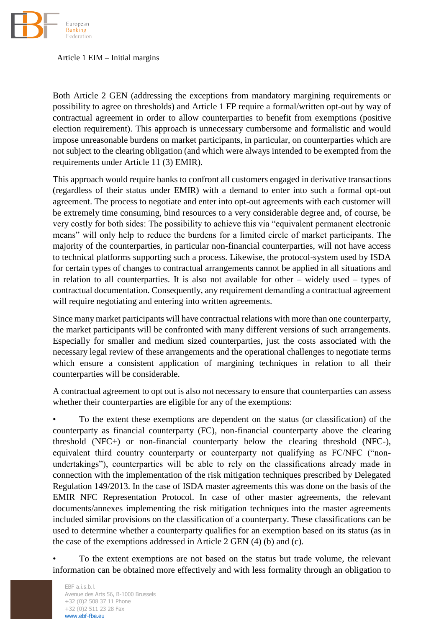

Article 1 EIM – Initial margins

Both Article 2 GEN (addressing the exceptions from mandatory margining requirements or possibility to agree on thresholds) and Article 1 FP require a formal/written opt-out by way of contractual agreement in order to allow counterparties to benefit from exemptions (positive election requirement). This approach is unnecessary cumbersome and formalistic and would impose unreasonable burdens on market participants, in particular, on counterparties which are not subject to the clearing obligation (and which were always intended to be exempted from the requirements under Article 11 (3) EMIR).

This approach would require banks to confront all customers engaged in derivative transactions (regardless of their status under EMIR) with a demand to enter into such a formal opt-out agreement. The process to negotiate and enter into opt-out agreements with each customer will be extremely time consuming, bind resources to a very considerable degree and, of course, be very costly for both sides: The possibility to achieve this via "equivalent permanent electronic means" will only help to reduce the burdens for a limited circle of market participants. The majority of the counterparties, in particular non-financial counterparties, will not have access to technical platforms supporting such a process. Likewise, the protocol-system used by ISDA for certain types of changes to contractual arrangements cannot be applied in all situations and in relation to all counterparties. It is also not available for other – widely used – types of contractual documentation. Consequently, any requirement demanding a contractual agreement will require negotiating and entering into written agreements.

Since many market participants will have contractual relations with more than one counterparty, the market participants will be confronted with many different versions of such arrangements. Especially for smaller and medium sized counterparties, just the costs associated with the necessary legal review of these arrangements and the operational challenges to negotiate terms which ensure a consistent application of margining techniques in relation to all their counterparties will be considerable.

A contractual agreement to opt out is also not necessary to ensure that counterparties can assess whether their counterparties are eligible for any of the exemptions:

• To the extent these exemptions are dependent on the status (or classification) of the counterparty as financial counterparty (FC), non-financial counterparty above the clearing threshold (NFC+) or non-financial counterparty below the clearing threshold (NFC-), equivalent third country counterparty or counterparty not qualifying as FC/NFC ("nonundertakings"), counterparties will be able to rely on the classifications already made in connection with the implementation of the risk mitigation techniques prescribed by Delegated Regulation 149/2013. In the case of ISDA master agreements this was done on the basis of the EMIR NFC Representation Protocol. In case of other master agreements, the relevant documents/annexes implementing the risk mitigation techniques into the master agreements included similar provisions on the classification of a counterparty. These classifications can be used to determine whether a counterparty qualifies for an exemption based on its status (as in the case of the exemptions addressed in Article 2 GEN (4) (b) and (c).

• To the extent exemptions are not based on the status but trade volume, the relevant information can be obtained more effectively and with less formality through an obligation to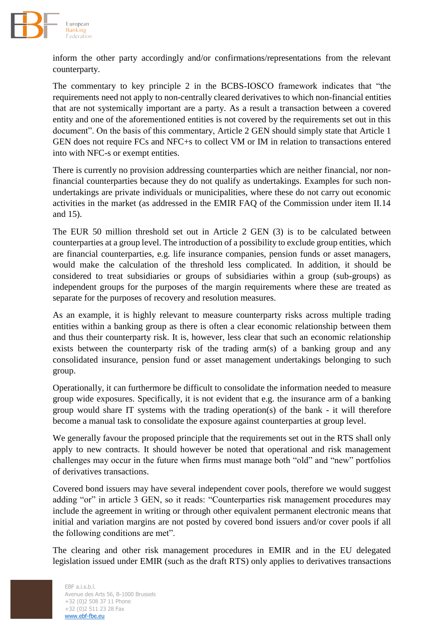

inform the other party accordingly and/or confirmations/representations from the relevant counterparty.

The commentary to key principle 2 in the BCBS-IOSCO framework indicates that "the requirements need not apply to non-centrally cleared derivatives to which non-financial entities that are not systemically important are a party. As a result a transaction between a covered entity and one of the aforementioned entities is not covered by the requirements set out in this document". On the basis of this commentary, Article 2 GEN should simply state that Article 1 GEN does not require FCs and NFC+s to collect VM or IM in relation to transactions entered into with NFC-s or exempt entities.

There is currently no provision addressing counterparties which are neither financial, nor nonfinancial counterparties because they do not qualify as undertakings. Examples for such nonundertakings are private individuals or municipalities, where these do not carry out economic activities in the market (as addressed in the EMIR FAQ of the Commission under item II.14 and 15).

The EUR 50 million threshold set out in Article 2 GEN (3) is to be calculated between counterparties at a group level. The introduction of a possibility to exclude group entities, which are financial counterparties, e.g. life insurance companies, pension funds or asset managers, would make the calculation of the threshold less complicated. In addition, it should be considered to treat subsidiaries or groups of subsidiaries within a group (sub-groups) as independent groups for the purposes of the margin requirements where these are treated as separate for the purposes of recovery and resolution measures.

As an example, it is highly relevant to measure counterparty risks across multiple trading entities within a banking group as there is often a clear economic relationship between them and thus their counterparty risk. It is, however, less clear that such an economic relationship exists between the counterparty risk of the trading arm(s) of a banking group and any consolidated insurance, pension fund or asset management undertakings belonging to such group.

Operationally, it can furthermore be difficult to consolidate the information needed to measure group wide exposures. Specifically, it is not evident that e.g. the insurance arm of a banking group would share IT systems with the trading operation(s) of the bank - it will therefore become a manual task to consolidate the exposure against counterparties at group level.

We generally favour the proposed principle that the requirements set out in the RTS shall only apply to new contracts. It should however be noted that operational and risk management challenges may occur in the future when firms must manage both "old" and "new" portfolios of derivatives transactions.

Covered bond issuers may have several independent cover pools, therefore we would suggest adding "or" in article 3 GEN, so it reads: "Counterparties risk management procedures may include the agreement in writing or through other equivalent permanent electronic means that initial and variation margins are not posted by covered bond issuers and/or cover pools if all the following conditions are met".

The clearing and other risk management procedures in EMIR and in the EU delegated legislation issued under EMIR (such as the draft RTS) only applies to derivatives transactions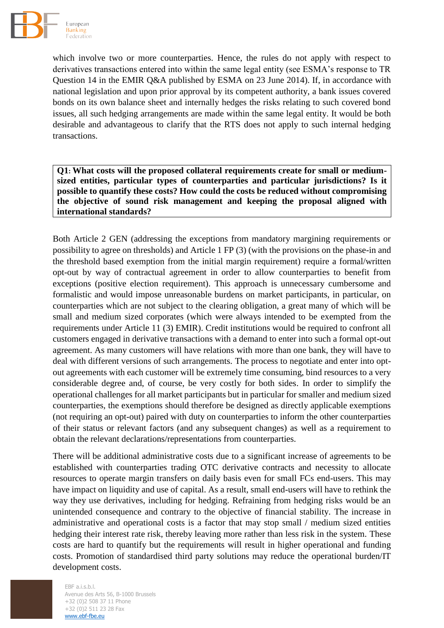

which involve two or more counterparties. Hence, the rules do not apply with respect to derivatives transactions entered into within the same legal entity (see ESMA's response to TR Question 14 in the EMIR Q&A published by ESMA on 23 June 2014). If, in accordance with national legislation and upon prior approval by its competent authority, a bank issues covered bonds on its own balance sheet and internally hedges the risks relating to such covered bond issues, all such hedging arrangements are made within the same legal entity. It would be both desirable and advantageous to clarify that the RTS does not apply to such internal hedging transactions.

**Q1: What costs will the proposed collateral requirements create for small or mediumsized entities, particular types of counterparties and particular jurisdictions? Is it possible to quantify these costs? How could the costs be reduced without compromising the objective of sound risk management and keeping the proposal aligned with international standards?**

Both Article 2 GEN (addressing the exceptions from mandatory margining requirements or possibility to agree on thresholds) and Article 1 FP (3) (with the provisions on the phase-in and the threshold based exemption from the initial margin requirement) require a formal/written opt-out by way of contractual agreement in order to allow counterparties to benefit from exceptions (positive election requirement). This approach is unnecessary cumbersome and formalistic and would impose unreasonable burdens on market participants, in particular, on counterparties which are not subject to the clearing obligation, a great many of which will be small and medium sized corporates (which were always intended to be exempted from the requirements under Article 11 (3) EMIR). Credit institutions would be required to confront all customers engaged in derivative transactions with a demand to enter into such a formal opt-out agreement. As many customers will have relations with more than one bank, they will have to deal with different versions of such arrangements. The process to negotiate and enter into optout agreements with each customer will be extremely time consuming, bind resources to a very considerable degree and, of course, be very costly for both sides. In order to simplify the operational challenges for all market participants but in particular for smaller and medium sized counterparties, the exemptions should therefore be designed as directly applicable exemptions (not requiring an opt-out) paired with duty on counterparties to inform the other counterparties of their status or relevant factors (and any subsequent changes) as well as a requirement to obtain the relevant declarations/representations from counterparties.

There will be additional administrative costs due to a significant increase of agreements to be established with counterparties trading OTC derivative contracts and necessity to allocate resources to operate margin transfers on daily basis even for small FCs end-users. This may have impact on liquidity and use of capital. As a result, small end-users will have to rethink the way they use derivatives, including for hedging. Refraining from hedging risks would be an unintended consequence and contrary to the objective of financial stability. The increase in administrative and operational costs is a factor that may stop small / medium sized entities hedging their interest rate risk, thereby leaving more rather than less risk in the system. These costs are hard to quantify but the requirements will result in higher operational and funding costs. Promotion of standardised third party solutions may reduce the operational burden/IT development costs.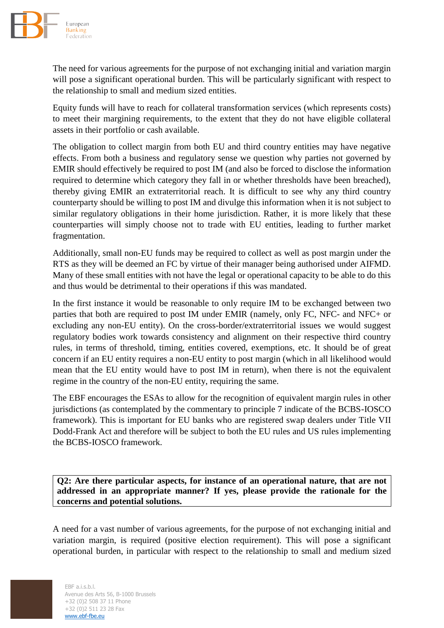

The need for various agreements for the purpose of not exchanging initial and variation margin will pose a significant operational burden. This will be particularly significant with respect to the relationship to small and medium sized entities.

Equity funds will have to reach for collateral transformation services (which represents costs) to meet their margining requirements, to the extent that they do not have eligible collateral assets in their portfolio or cash available.

The obligation to collect margin from both EU and third country entities may have negative effects. From both a business and regulatory sense we question why parties not governed by EMIR should effectively be required to post IM (and also be forced to disclose the information required to determine which category they fall in or whether thresholds have been breached), thereby giving EMIR an extraterritorial reach. It is difficult to see why any third country counterparty should be willing to post IM and divulge this information when it is not subject to similar regulatory obligations in their home jurisdiction. Rather, it is more likely that these counterparties will simply choose not to trade with EU entities, leading to further market fragmentation.

Additionally, small non-EU funds may be required to collect as well as post margin under the RTS as they will be deemed an FC by virtue of their manager being authorised under AIFMD. Many of these small entities with not have the legal or operational capacity to be able to do this and thus would be detrimental to their operations if this was mandated.

In the first instance it would be reasonable to only require IM to be exchanged between two parties that both are required to post IM under EMIR (namely, only FC, NFC- and NFC+ or excluding any non-EU entity). On the cross-border/extraterritorial issues we would suggest regulatory bodies work towards consistency and alignment on their respective third country rules, in terms of threshold, timing, entities covered, exemptions, etc. It should be of great concern if an EU entity requires a non-EU entity to post margin (which in all likelihood would mean that the EU entity would have to post IM in return), when there is not the equivalent regime in the country of the non-EU entity, requiring the same.

The EBF encourages the ESAs to allow for the recognition of equivalent margin rules in other jurisdictions (as contemplated by the commentary to principle 7 indicate of the BCBS-IOSCO framework). This is important for EU banks who are registered swap dealers under Title VII Dodd-Frank Act and therefore will be subject to both the EU rules and US rules implementing the BCBS-IOSCO framework.

**Q2: Are there particular aspects, for instance of an operational nature, that are not addressed in an appropriate manner? If yes, please provide the rationale for the concerns and potential solutions.**

A need for a vast number of various agreements, for the purpose of not exchanging initial and variation margin, is required (positive election requirement). This will pose a significant operational burden, in particular with respect to the relationship to small and medium sized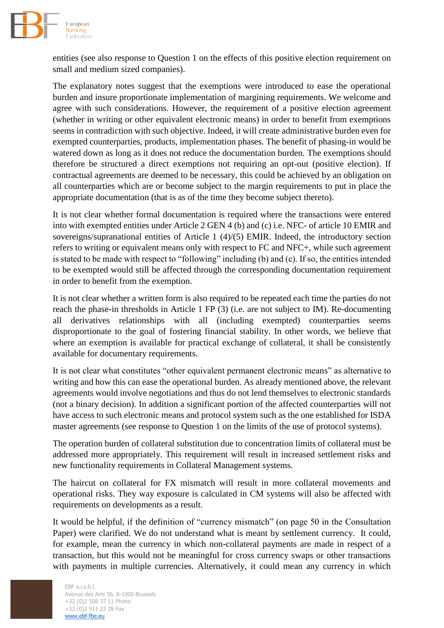

entities (see also response to Question 1 on the effects of this positive election requirement on small and medium sized companies).

The explanatory notes suggest that the exemptions were introduced to ease the operational burden and insure proportionate implementation of margining requirements. We welcome and agree with such considerations. However, the requirement of a positive election agreement (whether in writing or other equivalent electronic means) in order to benefit from exemptions seems in contradiction with such objective. Indeed, it will create administrative burden even for exempted counterparties, products, implementation phases. The benefit of phasing-in would be watered down as long as it does not reduce the documentation burden. The exemptions should therefore be structured a direct exemptions not requiring an opt-out (positive election). If contractual agreements are deemed to be necessary, this could be achieved by an obligation on all counterparties which are or become subject to the margin requirements to put in place the appropriate documentation (that is as of the time they become subject thereto).

It is not clear whether formal documentation is required where the transactions were entered into with exempted entities under Article 2 GEN 4 (b) and (c) i.e. NFC- of article 10 EMIR and sovereigns/supranational entities of Article 1 (4)/(5) EMIR. Indeed, the introductory section refers to writing or equivalent means only with respect to FC and NFC+, while such agreement is stated to be made with respect to "following" including (b) and (c). If so, the entities intended to be exempted would still be affected through the corresponding documentation requirement in order to benefit from the exemption.

It is not clear whether a written form is also required to be repeated each time the parties do not reach the phase-in thresholds in Article 1 FP (3) (i.e. are not subject to IM). Re-documenting all derivatives relationships with all (including exempted) counterparties seems disproportionate to the goal of fostering financial stability. In other words, we believe that where an exemption is available for practical exchange of collateral, it shall be consistently available for documentary requirements.

It is not clear what constitutes "other equivalent permanent electronic means" as alternative to writing and how this can ease the operational burden. As already mentioned above, the relevant agreements would involve negotiations and thus do not lend themselves to electronic standards (not a binary decision). In addition a significant portion of the affected counterparties will not have access to such electronic means and protocol system such as the one established for ISDA master agreements (see response to Question 1 on the limits of the use of protocol systems).

The operation burden of collateral substitution due to concentration limits of collateral must be addressed more appropriately. This requirement will result in increased settlement risks and new functionality requirements in Collateral Management systems.

The haircut on collateral for FX mismatch will result in more collateral movements and operational risks. They way exposure is calculated in CM systems will also be affected with requirements on developments as a result.

It would be helpful, if the definition of "currency mismatch" (on page 50 in the Consultation Paper) were clarified. We do not understand what is meant by settlement currency. It could, for example, mean the currency in which non-collateral payments are made in respect of a transaction, but this would not be meaningful for cross currency swaps or other transactions with payments in multiple currencies. Alternatively, it could mean any currency in which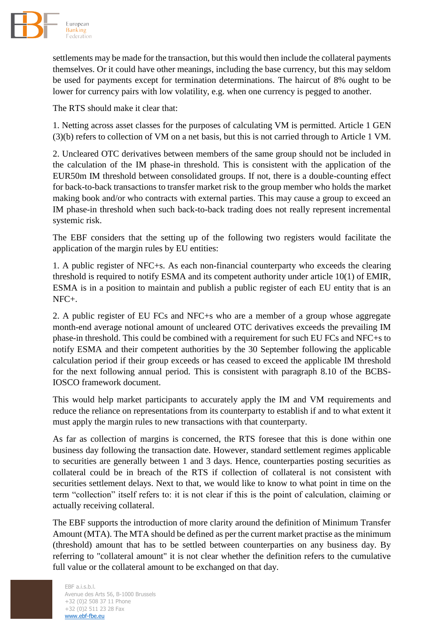

settlements may be made for the transaction, but this would then include the collateral payments themselves. Or it could have other meanings, including the base currency, but this may seldom be used for payments except for termination determinations. The haircut of 8% ought to be lower for currency pairs with low volatility, e.g. when one currency is pegged to another.

The RTS should make it clear that:

1. Netting across asset classes for the purposes of calculating VM is permitted. Article 1 GEN (3)(b) refers to collection of VM on a net basis, but this is not carried through to Article 1 VM.

2. Uncleared OTC derivatives between members of the same group should not be included in the calculation of the IM phase-in threshold. This is consistent with the application of the EUR50m IM threshold between consolidated groups. If not, there is a double-counting effect for back-to-back transactions to transfer market risk to the group member who holds the market making book and/or who contracts with external parties. This may cause a group to exceed an IM phase-in threshold when such back-to-back trading does not really represent incremental systemic risk.

The EBF considers that the setting up of the following two registers would facilitate the application of the margin rules by EU entities:

1. A public register of NFC+s. As each non-financial counterparty who exceeds the clearing threshold is required to notify ESMA and its competent authority under article 10(1) of EMIR, ESMA is in a position to maintain and publish a public register of each EU entity that is an NFC+.

2. A public register of EU FCs and NFC+s who are a member of a group whose aggregate month-end average notional amount of uncleared OTC derivatives exceeds the prevailing IM phase-in threshold. This could be combined with a requirement for such EU FCs and NFC+s to notify ESMA and their competent authorities by the 30 September following the applicable calculation period if their group exceeds or has ceased to exceed the applicable IM threshold for the next following annual period. This is consistent with paragraph 8.10 of the BCBS-IOSCO framework document.

This would help market participants to accurately apply the IM and VM requirements and reduce the reliance on representations from its counterparty to establish if and to what extent it must apply the margin rules to new transactions with that counterparty.

As far as collection of margins is concerned, the RTS foresee that this is done within one business day following the transaction date. However, standard settlement regimes applicable to securities are generally between 1 and 3 days. Hence, counterparties posting securities as collateral could be in breach of the RTS if collection of collateral is not consistent with securities settlement delays. Next to that, we would like to know to what point in time on the term "collection" itself refers to: it is not clear if this is the point of calculation, claiming or actually receiving collateral.

The EBF supports the introduction of more clarity around the definition of Minimum Transfer Amount (MTA). The MTA should be defined as per the current market practise as the minimum (threshold) amount that has to be settled between counterparties on any business day. By referring to "collateral amount" it is not clear whether the definition refers to the cumulative full value or the collateral amount to be exchanged on that day.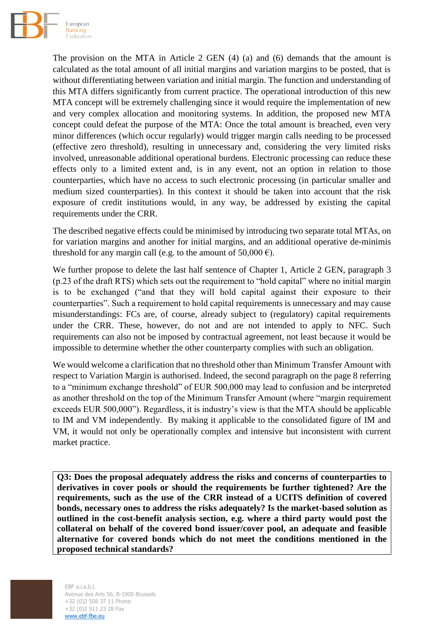

The provision on the MTA in Article 2 GEN (4) (a) and (6) demands that the amount is calculated as the total amount of all initial margins and variation margins to be posted, that is without differentiating between variation and initial margin. The function and understanding of this MTA differs significantly from current practice. The operational introduction of this new MTA concept will be extremely challenging since it would require the implementation of new and very complex allocation and monitoring systems. In addition, the proposed new MTA concept could defeat the purpose of the MTA: Once the total amount is breached, even very minor differences (which occur regularly) would trigger margin calls needing to be processed (effective zero threshold), resulting in unnecessary and, considering the very limited risks involved, unreasonable additional operational burdens. Electronic processing can reduce these effects only to a limited extent and, is in any event, not an option in relation to those counterparties, which have no access to such electronic processing (in particular smaller and medium sized counterparties). In this context it should be taken into account that the risk exposure of credit institutions would, in any way, be addressed by existing the capital requirements under the CRR.

The described negative effects could be minimised by introducing two separate total MTAs, on for variation margins and another for initial margins, and an additional operative de-minimis threshold for any margin call (e.g. to the amount of 50,000  $\epsilon$ ).

We further propose to delete the last half sentence of Chapter 1, Article 2 GEN, paragraph 3 (p.23 of the draft RTS) which sets out the requirement to "hold capital" where no initial margin is to be exchanged ("and that they will hold capital against their exposure to their counterparties". Such a requirement to hold capital requirements is unnecessary and may cause misunderstandings: FCs are, of course, already subject to (regulatory) capital requirements under the CRR. These, however, do not and are not intended to apply to NFC. Such requirements can also not be imposed by contractual agreement, not least because it would be impossible to determine whether the other counterparty complies with such an obligation.

We would welcome a clarification that no threshold other than Minimum Transfer Amount with respect to Variation Margin is authorised. Indeed, the second paragraph on the page 8 referring to a "minimum exchange threshold" of EUR 500,000 may lead to confusion and be interpreted as another threshold on the top of the Minimum Transfer Amount (where "margin requirement exceeds EUR 500,000"). Regardless, it is industry's view is that the MTA should be applicable to IM and VM independently. By making it applicable to the consolidated figure of IM and VM, it would not only be operationally complex and intensive but inconsistent with current market practice.

**Q3: Does the proposal adequately address the risks and concerns of counterparties to derivatives in cover pools or should the requirements be further tightened? Are the requirements, such as the use of the CRR instead of a UCITS definition of covered bonds, necessary ones to address the risks adequately? Is the market-based solution as outlined in the cost-benefit analysis section, e.g. where a third party would post the collateral on behalf of the covered bond issuer/cover pool, an adequate and feasible alternative for covered bonds which do not meet the conditions mentioned in the proposed technical standards?**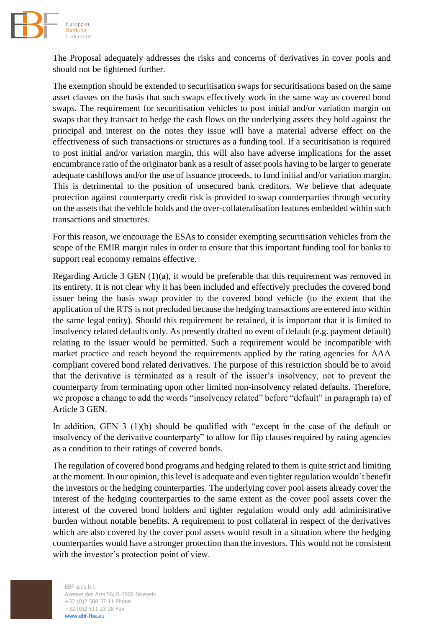

The Proposal adequately addresses the risks and concerns of derivatives in cover pools and should not be tightened further.

The exemption should be extended to securitisation swaps for securitisations based on the same asset classes on the basis that such swaps effectively work in the same way as covered bond swaps. The requirement for securitisation vehicles to post initial and/or variation margin on swaps that they transact to hedge the cash flows on the underlying assets they hold against the principal and interest on the notes they issue will have a material adverse effect on the effectiveness of such transactions or structures as a funding tool. If a securitisation is required to post initial and/or variation margin, this will also have adverse implications for the asset encumbrance ratio of the originator bank as a result of asset pools having to be larger to generate adequate cashflows and/or the use of issuance proceeds, to fund initial and/or variation margin. This is detrimental to the position of unsecured bank creditors. We believe that adequate protection against counterparty credit risk is provided to swap counterparties through security on the assets that the vehicle holds and the over-collateralisation features embedded within such transactions and structures.

For this reason, we encourage the ESAs to consider exempting securitisation vehicles from the scope of the EMIR margin rules in order to ensure that this important funding tool for banks to support real economy remains effective.

Regarding Article 3 GEN (1)(a), it would be preferable that this requirement was removed in its entirety. It is not clear why it has been included and effectively precludes the covered bond issuer being the basis swap provider to the covered bond vehicle (to the extent that the application of the RTS is not precluded because the hedging transactions are entered into within the same legal entity). Should this requirement be retained, it is important that it is limited to insolvency related defaults only. As presently drafted no event of default (e.g. payment default) relating to the issuer would be permitted. Such a requirement would be incompatible with market practice and reach beyond the requirements applied by the rating agencies for AAA compliant covered bond related derivatives. The purpose of this restriction should be to avoid that the derivative is terminated as a result of the issuer's insolvency, not to prevent the counterparty from terminating upon other limited non-insolvency related defaults. Therefore, we propose a change to add the words "insolvency related" before "default" in paragraph (a) of Article 3 GEN.

In addition, GEN 3 (1)(b) should be qualified with "except in the case of the default or insolvency of the derivative counterparty" to allow for flip clauses required by rating agencies as a condition to their ratings of covered bonds.

The regulation of covered bond programs and hedging related to them is quite strict and limiting at the moment. In our opinion, this level is adequate and even tighter regulation wouldn't benefit the investors or the hedging counterparties. The underlying cover pool assets already cover the interest of the hedging counterparties to the same extent as the cover pool assets cover the interest of the covered bond holders and tighter regulation would only add administrative burden without notable benefits. A requirement to post collateral in respect of the derivatives which are also covered by the cover pool assets would result in a situation where the hedging counterparties would have a stronger protection than the investors. This would not be consistent with the investor's protection point of view.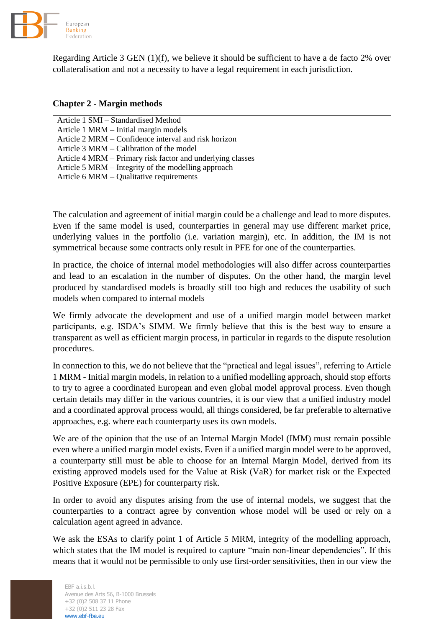

Regarding Article 3 GEN (1)(f), we believe it should be sufficient to have a de facto 2% over collateralisation and not a necessity to have a legal requirement in each jurisdiction.

# **Chapter 2 - Margin methods**

Article 1 SMI – Standardised Method Article 1 MRM – Initial margin models Article 2 MRM – Confidence interval and risk horizon Article 3 MRM – Calibration of the model Article 4 MRM – Primary risk factor and underlying classes Article 5 MRM – Integrity of the modelling approach Article 6 MRM – Qualitative requirements

The calculation and agreement of initial margin could be a challenge and lead to more disputes. Even if the same model is used, counterparties in general may use different market price, underlying values in the portfolio (i.e. variation margin), etc. In addition, the IM is not symmetrical because some contracts only result in PFE for one of the counterparties.

In practice, the choice of internal model methodologies will also differ across counterparties and lead to an escalation in the number of disputes. On the other hand, the margin level produced by standardised models is broadly still too high and reduces the usability of such models when compared to internal models

We firmly advocate the development and use of a unified margin model between market participants, e.g. ISDA's SIMM. We firmly believe that this is the best way to ensure a transparent as well as efficient margin process, in particular in regards to the dispute resolution procedures.

In connection to this, we do not believe that the "practical and legal issues", referring to Article 1 MRM - Initial margin models, in relation to a unified modelling approach, should stop efforts to try to agree a coordinated European and even global model approval process. Even though certain details may differ in the various countries, it is our view that a unified industry model and a coordinated approval process would, all things considered, be far preferable to alternative approaches, e.g. where each counterparty uses its own models.

We are of the opinion that the use of an Internal Margin Model (IMM) must remain possible even where a unified margin model exists. Even if a unified margin model were to be approved, a counterparty still must be able to choose for an Internal Margin Model, derived from its existing approved models used for the Value at Risk (VaR) for market risk or the Expected Positive Exposure (EPE) for counterparty risk.

In order to avoid any disputes arising from the use of internal models, we suggest that the counterparties to a contract agree by convention whose model will be used or rely on a calculation agent agreed in advance.

We ask the ESAs to clarify point 1 of Article 5 MRM, integrity of the modelling approach, which states that the IM model is required to capture "main non-linear dependencies". If this means that it would not be permissible to only use first-order sensitivities, then in our view the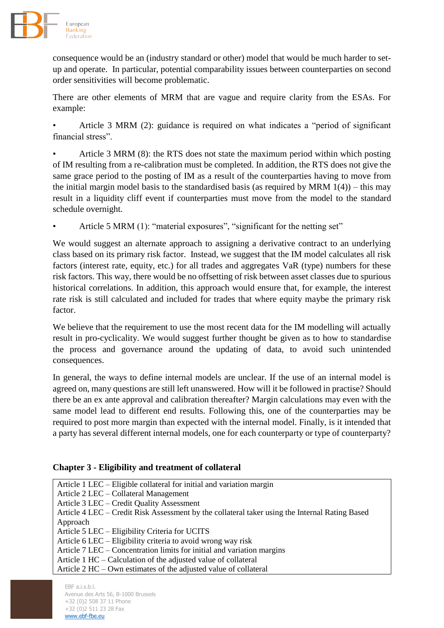

consequence would be an (industry standard or other) model that would be much harder to setup and operate. In particular, potential comparability issues between counterparties on second order sensitivities will become problematic.

There are other elements of MRM that are vague and require clarity from the ESAs. For example:

• Article 3 MRM (2): guidance is required on what indicates a "period of significant financial stress".

• Article 3 MRM (8): the RTS does not state the maximum period within which posting of IM resulting from a re-calibration must be completed. In addition, the RTS does not give the same grace period to the posting of IM as a result of the counterparties having to move from the initial margin model basis to the standardised basis (as required by MRM  $1(4)$ ) – this may result in a liquidity cliff event if counterparties must move from the model to the standard schedule overnight.

Article 5 MRM (1): "material exposures", "significant for the netting set"

We would suggest an alternate approach to assigning a derivative contract to an underlying class based on its primary risk factor. Instead, we suggest that the IM model calculates all risk factors (interest rate, equity, etc.) for all trades and aggregates VaR (type) numbers for these risk factors. This way, there would be no offsetting of risk between asset classes due to spurious historical correlations. In addition, this approach would ensure that, for example, the interest rate risk is still calculated and included for trades that where equity maybe the primary risk factor.

We believe that the requirement to use the most recent data for the IM modelling will actually result in pro-cyclicality. We would suggest further thought be given as to how to standardise the process and governance around the updating of data, to avoid such unintended consequences.

In general, the ways to define internal models are unclear. If the use of an internal model is agreed on, many questions are still left unanswered. How will it be followed in practise? Should there be an ex ante approval and calibration thereafter? Margin calculations may even with the same model lead to different end results. Following this, one of the counterparties may be required to post more margin than expected with the internal model. Finally, is it intended that a party has several different internal models, one for each counterparty or type of counterparty?

# **Chapter 3 - Eligibility and treatment of collateral**

| Article 1 LEC – Eligible collateral for initial and variation margin                           |
|------------------------------------------------------------------------------------------------|
| Article 2 LEC – Collateral Management                                                          |
| Article 3 LEC – Credit Quality Assessment                                                      |
| Article 4 LEC – Credit Risk Assessment by the collateral taker using the Internal Rating Based |
| Approach                                                                                       |
| Article 5 LEC – Eligibility Criteria for UCITS                                                 |
| Article 6 LEC – Eligibility criteria to avoid wrong way risk                                   |
| Article 7 LEC – Concentration limits for initial and variation margins                         |
| Article 1 HC – Calculation of the adjusted value of collateral                                 |
| Article $2$ HC $-$ Own estimates of the adjusted value of collateral                           |
|                                                                                                |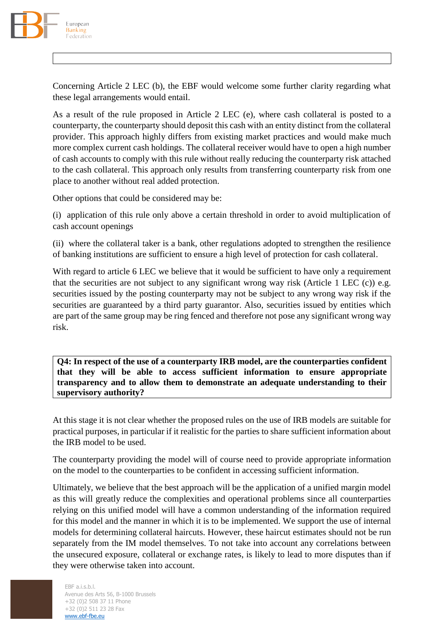

Concerning Article 2 LEC (b), the EBF would welcome some further clarity regarding what these legal arrangements would entail.

As a result of the rule proposed in Article 2 LEC (e), where cash collateral is posted to a counterparty, the counterparty should deposit this cash with an entity distinct from the collateral provider. This approach highly differs from existing market practices and would make much more complex current cash holdings. The collateral receiver would have to open a high number of cash accounts to comply with this rule without really reducing the counterparty risk attached to the cash collateral. This approach only results from transferring counterparty risk from one place to another without real added protection.

Other options that could be considered may be:

(i) application of this rule only above a certain threshold in order to avoid multiplication of cash account openings

(ii) where the collateral taker is a bank, other regulations adopted to strengthen the resilience of banking institutions are sufficient to ensure a high level of protection for cash collateral.

With regard to article 6 LEC we believe that it would be sufficient to have only a requirement that the securities are not subject to any significant wrong way risk (Article 1 LEC (c)) e.g. securities issued by the posting counterparty may not be subject to any wrong way risk if the securities are guaranteed by a third party guarantor. Also, securities issued by entities which are part of the same group may be ring fenced and therefore not pose any significant wrong way risk.

**Q4: In respect of the use of a counterparty IRB model, are the counterparties confident that they will be able to access sufficient information to ensure appropriate transparency and to allow them to demonstrate an adequate understanding to their supervisory authority?**

At this stage it is not clear whether the proposed rules on the use of IRB models are suitable for practical purposes, in particular if it realistic for the parties to share sufficient information about the IRB model to be used.

The counterparty providing the model will of course need to provide appropriate information on the model to the counterparties to be confident in accessing sufficient information.

Ultimately, we believe that the best approach will be the application of a unified margin model as this will greatly reduce the complexities and operational problems since all counterparties relying on this unified model will have a common understanding of the information required for this model and the manner in which it is to be implemented. We support the use of internal models for determining collateral haircuts. However, these haircut estimates should not be run separately from the IM model themselves. To not take into account any correlations between the unsecured exposure, collateral or exchange rates, is likely to lead to more disputes than if they were otherwise taken into account.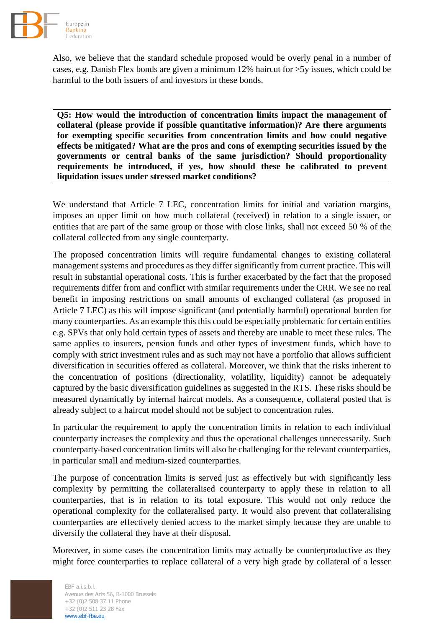

Also, we believe that the standard schedule proposed would be overly penal in a number of cases, e.g. Danish Flex bonds are given a minimum 12% haircut for >5y issues, which could be harmful to the both issuers of and investors in these bonds.

**Q5: How would the introduction of concentration limits impact the management of collateral (please provide if possible quantitative information)? Are there arguments for exempting specific securities from concentration limits and how could negative effects be mitigated? What are the pros and cons of exempting securities issued by the governments or central banks of the same jurisdiction? Should proportionality requirements be introduced, if yes, how should these be calibrated to prevent liquidation issues under stressed market conditions?**

We understand that Article 7 LEC, concentration limits for initial and variation margins, imposes an upper limit on how much collateral (received) in relation to a single issuer, or entities that are part of the same group or those with close links, shall not exceed 50 % of the collateral collected from any single counterparty.

The proposed concentration limits will require fundamental changes to existing collateral management systems and procedures as they differ significantly from current practice. This will result in substantial operational costs. This is further exacerbated by the fact that the proposed requirements differ from and conflict with similar requirements under the CRR. We see no real benefit in imposing restrictions on small amounts of exchanged collateral (as proposed in Article 7 LEC) as this will impose significant (and potentially harmful) operational burden for many counterparties. As an example this this could be especially problematic for certain entities e.g. SPVs that only hold certain types of assets and thereby are unable to meet these rules. The same applies to insurers, pension funds and other types of investment funds, which have to comply with strict investment rules and as such may not have a portfolio that allows sufficient diversification in securities offered as collateral. Moreover, we think that the risks inherent to the concentration of positions (directionality, volatility, liquidity) cannot be adequately captured by the basic diversification guidelines as suggested in the RTS. These risks should be measured dynamically by internal haircut models. As a consequence, collateral posted that is already subject to a haircut model should not be subject to concentration rules.

In particular the requirement to apply the concentration limits in relation to each individual counterparty increases the complexity and thus the operational challenges unnecessarily. Such counterparty-based concentration limits will also be challenging for the relevant counterparties, in particular small and medium-sized counterparties.

The purpose of concentration limits is served just as effectively but with significantly less complexity by permitting the collateralised counterparty to apply these in relation to all counterparties, that is in relation to its total exposure. This would not only reduce the operational complexity for the collateralised party. It would also prevent that collateralising counterparties are effectively denied access to the market simply because they are unable to diversify the collateral they have at their disposal.

Moreover, in some cases the concentration limits may actually be counterproductive as they might force counterparties to replace collateral of a very high grade by collateral of a lesser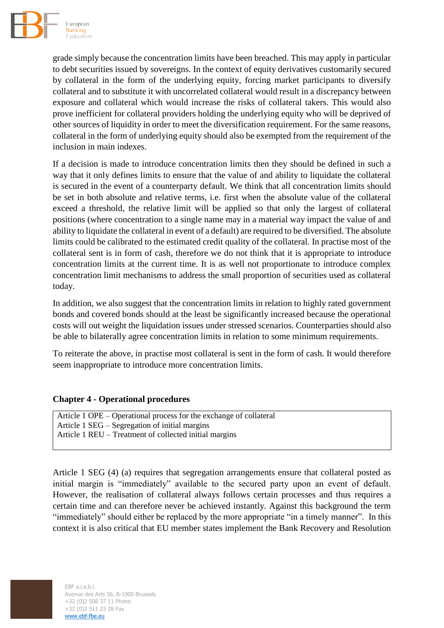

grade simply because the concentration limits have been breached. This may apply in particular to debt securities issued by sovereigns. In the context of equity derivatives customarily secured by collateral in the form of the underlying equity, forcing market participants to diversify collateral and to substitute it with uncorrelated collateral would result in a discrepancy between exposure and collateral which would increase the risks of collateral takers. This would also prove inefficient for collateral providers holding the underlying equity who will be deprived of other sources of liquidity in order to meet the diversification requirement. For the same reasons, collateral in the form of underlying equity should also be exempted from the requirement of the inclusion in main indexes.

If a decision is made to introduce concentration limits then they should be defined in such a way that it only defines limits to ensure that the value of and ability to liquidate the collateral is secured in the event of a counterparty default. We think that all concentration limits should be set in both absolute and relative terms, i.e. first when the absolute value of the collateral exceed a threshold, the relative limit will be applied so that only the largest of collateral positions (where concentration to a single name may in a material way impact the value of and ability to liquidate the collateral in event of a default) are required to be diversified. The absolute limits could be calibrated to the estimated credit quality of the collateral. In practise most of the collateral sent is in form of cash, therefore we do not think that it is appropriate to introduce concentration limits at the current time. It is as well not proportionate to introduce complex concentration limit mechanisms to address the small proportion of securities used as collateral today.

In addition, we also suggest that the concentration limits in relation to highly rated government bonds and covered bonds should at the least be significantly increased because the operational costs will out weight the liquidation issues under stressed scenarios. Counterparties should also be able to bilaterally agree concentration limits in relation to some minimum requirements.

To reiterate the above, in practise most collateral is sent in the form of cash. It would therefore seem inappropriate to introduce more concentration limits.

#### **Chapter 4 - Operational procedures**

Article 1 OPE – Operational process for the exchange of collateral Article 1 SEG – Segregation of initial margins Article 1 REU – Treatment of collected initial margins

Article 1 SEG (4) (a) requires that segregation arrangements ensure that collateral posted as initial margin is "immediately" available to the secured party upon an event of default. However, the realisation of collateral always follows certain processes and thus requires a certain time and can therefore never be achieved instantly. Against this background the term "immediately" should either be replaced by the more appropriate "in a timely manner". In this context it is also critical that EU member states implement the Bank Recovery and Resolution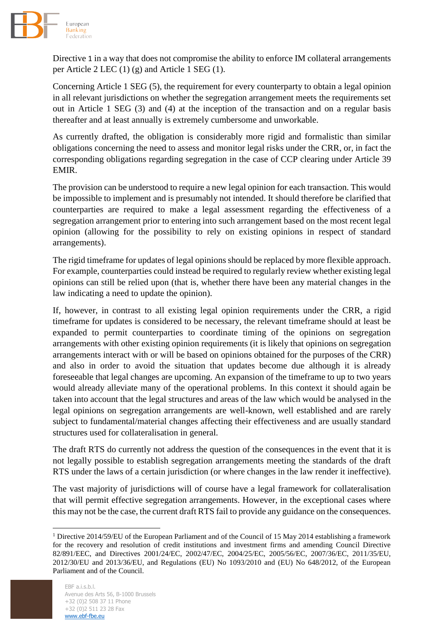

Directive 1 in a way that does not compromise the ability to enforce IM collateral arrangements per Article 2 LEC (1) (g) and Article 1 SEG (1).

Concerning Article 1 SEG (5), the requirement for every counterparty to obtain a legal opinion in all relevant jurisdictions on whether the segregation arrangement meets the requirements set out in Article 1 SEG (3) and (4) at the inception of the transaction and on a regular basis thereafter and at least annually is extremely cumbersome and unworkable.

As currently drafted, the obligation is considerably more rigid and formalistic than similar obligations concerning the need to assess and monitor legal risks under the CRR, or, in fact the corresponding obligations regarding segregation in the case of CCP clearing under Article 39 EMIR.

The provision can be understood to require a new legal opinion for each transaction. This would be impossible to implement and is presumably not intended. It should therefore be clarified that counterparties are required to make a legal assessment regarding the effectiveness of a segregation arrangement prior to entering into such arrangement based on the most recent legal opinion (allowing for the possibility to rely on existing opinions in respect of standard arrangements).

The rigid timeframe for updates of legal opinions should be replaced by more flexible approach. For example, counterparties could instead be required to regularly review whether existing legal opinions can still be relied upon (that is, whether there have been any material changes in the law indicating a need to update the opinion).

If, however, in contrast to all existing legal opinion requirements under the CRR, a rigid timeframe for updates is considered to be necessary, the relevant timeframe should at least be expanded to permit counterparties to coordinate timing of the opinions on segregation arrangements with other existing opinion requirements (it is likely that opinions on segregation arrangements interact with or will be based on opinions obtained for the purposes of the CRR) and also in order to avoid the situation that updates become due although it is already foreseeable that legal changes are upcoming. An expansion of the timeframe to up to two years would already alleviate many of the operational problems. In this context it should again be taken into account that the legal structures and areas of the law which would be analysed in the legal opinions on segregation arrangements are well-known, well established and are rarely subject to fundamental/material changes affecting their effectiveness and are usually standard structures used for collateralisation in general.

The draft RTS do currently not address the question of the consequences in the event that it is not legally possible to establish segregation arrangements meeting the standards of the draft RTS under the laws of a certain jurisdiction (or where changes in the law render it ineffective).

The vast majority of jurisdictions will of course have a legal framework for collateralisation that will permit effective segregation arrangements. However, in the exceptional cases where this may not be the case, the current draft RTS fail to provide any guidance on the consequences.

**.** 

<sup>&</sup>lt;sup>1</sup> Directive 2014/59/EU of the European Parliament and of the Council of 15 May 2014 establishing a framework for the recovery and resolution of credit institutions and investment firms and amending Council Directive 82/891/EEC, and Directives 2001/24/EC, 2002/47/EC, 2004/25/EC, 2005/56/EC, 2007/36/EC, 2011/35/EU, 2012/30/EU and 2013/36/EU, and Regulations (EU) No 1093/2010 and (EU) No 648/2012, of the European Parliament and of the Council.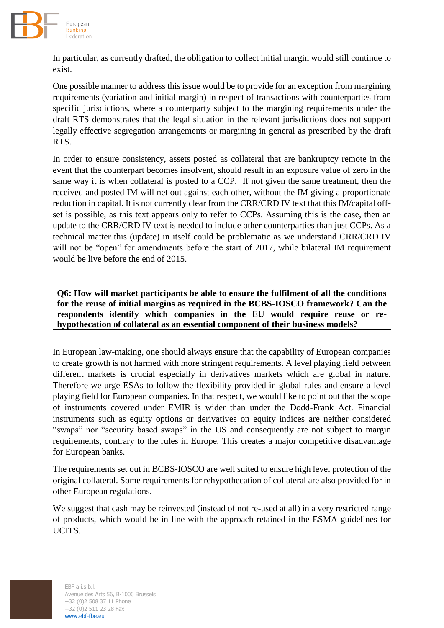

In particular, as currently drafted, the obligation to collect initial margin would still continue to exist.

One possible manner to address this issue would be to provide for an exception from margining requirements (variation and initial margin) in respect of transactions with counterparties from specific jurisdictions, where a counterparty subject to the margining requirements under the draft RTS demonstrates that the legal situation in the relevant jurisdictions does not support legally effective segregation arrangements or margining in general as prescribed by the draft RTS.

In order to ensure consistency, assets posted as collateral that are bankruptcy remote in the event that the counterpart becomes insolvent, should result in an exposure value of zero in the same way it is when collateral is posted to a CCP. If not given the same treatment, then the received and posted IM will net out against each other, without the IM giving a proportionate reduction in capital. It is not currently clear from the CRR/CRD IV text that this IM/capital offset is possible, as this text appears only to refer to CCPs. Assuming this is the case, then an update to the CRR/CRD IV text is needed to include other counterparties than just CCPs. As a technical matter this (update) in itself could be problematic as we understand CRR/CRD IV will not be "open" for amendments before the start of 2017, while bilateral IM requirement would be live before the end of 2015.

**Q6: How will market participants be able to ensure the fulfilment of all the conditions for the reuse of initial margins as required in the BCBS-IOSCO framework? Can the respondents identify which companies in the EU would require reuse or rehypothecation of collateral as an essential component of their business models?**

In European law-making, one should always ensure that the capability of European companies to create growth is not harmed with more stringent requirements. A level playing field between different markets is crucial especially in derivatives markets which are global in nature. Therefore we urge ESAs to follow the flexibility provided in global rules and ensure a level playing field for European companies. In that respect, we would like to point out that the scope of instruments covered under EMIR is wider than under the Dodd-Frank Act. Financial instruments such as equity options or derivatives on equity indices are neither considered "swaps" nor "security based swaps" in the US and consequently are not subject to margin requirements, contrary to the rules in Europe. This creates a major competitive disadvantage for European banks.

The requirements set out in BCBS-IOSCO are well suited to ensure high level protection of the original collateral. Some requirements for rehypothecation of collateral are also provided for in other European regulations.

We suggest that cash may be reinvested (instead of not re-used at all) in a very restricted range of products, which would be in line with the approach retained in the ESMA guidelines for UCITS.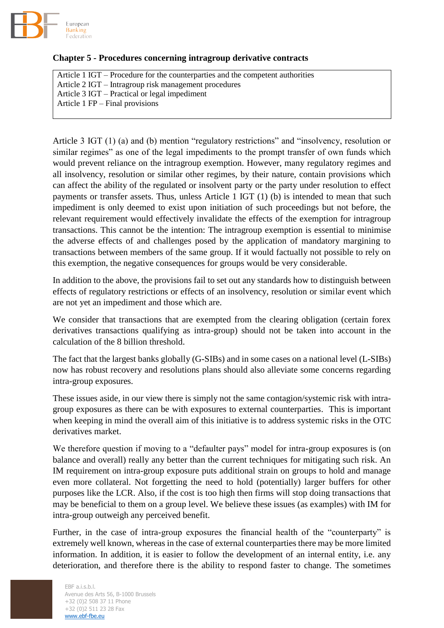

### **Chapter 5 - Procedures concerning intragroup derivative contracts**

Article 1 IGT – Procedure for the counterparties and the competent authorities Article 2 IGT – Intragroup risk management procedures Article 3 IGT – Practical or legal impediment Article 1 FP – Final provisions

Article 3 IGT (1) (a) and (b) mention "regulatory restrictions" and "insolvency, resolution or similar regimes" as one of the legal impediments to the prompt transfer of own funds which would prevent reliance on the intragroup exemption. However, many regulatory regimes and all insolvency, resolution or similar other regimes, by their nature, contain provisions which can affect the ability of the regulated or insolvent party or the party under resolution to effect payments or transfer assets. Thus, unless Article 1 IGT (1) (b) is intended to mean that such impediment is only deemed to exist upon initiation of such proceedings but not before, the relevant requirement would effectively invalidate the effects of the exemption for intragroup transactions. This cannot be the intention: The intragroup exemption is essential to minimise the adverse effects of and challenges posed by the application of mandatory margining to transactions between members of the same group. If it would factually not possible to rely on this exemption, the negative consequences for groups would be very considerable.

In addition to the above, the provisions fail to set out any standards how to distinguish between effects of regulatory restrictions or effects of an insolvency, resolution or similar event which are not yet an impediment and those which are.

We consider that transactions that are exempted from the clearing obligation (certain forex derivatives transactions qualifying as intra-group) should not be taken into account in the calculation of the 8 billion threshold.

The fact that the largest banks globally (G-SIBs) and in some cases on a national level (L-SIBs) now has robust recovery and resolutions plans should also alleviate some concerns regarding intra-group exposures.

These issues aside, in our view there is simply not the same contagion/systemic risk with intragroup exposures as there can be with exposures to external counterparties. This is important when keeping in mind the overall aim of this initiative is to address systemic risks in the OTC derivatives market.

We therefore question if moving to a "defaulter pays" model for intra-group exposures is (on balance and overall) really any better than the current techniques for mitigating such risk. An IM requirement on intra-group exposure puts additional strain on groups to hold and manage even more collateral. Not forgetting the need to hold (potentially) larger buffers for other purposes like the LCR. Also, if the cost is too high then firms will stop doing transactions that may be beneficial to them on a group level. We believe these issues (as examples) with IM for intra-group outweigh any perceived benefit.

Further, in the case of intra-group exposures the financial health of the "counterparty" is extremely well known, whereas in the case of external counterparties there may be more limited information. In addition, it is easier to follow the development of an internal entity, i.e. any deterioration, and therefore there is the ability to respond faster to change. The sometimes